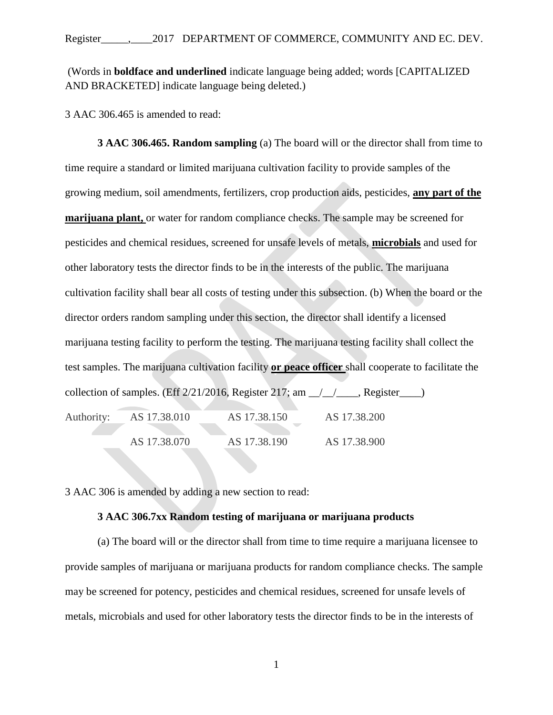(Words in **boldface and underlined** indicate language being added; words [CAPITALIZED AND BRACKETED] indicate language being deleted.)

3 AAC 306.465 is amended to read:

**3 AAC 306.465. Random sampling** (a) The board will or the director shall from time to time require a standard or limited marijuana cultivation facility to provide samples of the growing medium, soil amendments, fertilizers, crop production aids, pesticides, **any part of the marijuana plant,** or water for random compliance checks. The sample may be screened for pesticides and chemical residues, screened for unsafe levels of metals, **microbials** and used for other laboratory tests the director finds to be in the interests of the public. The marijuana cultivation facility shall bear all costs of testing under this subsection. (b) When the board or the director orders random sampling under this section, the director shall identify a licensed marijuana testing facility to perform the testing. The marijuana testing facility shall collect the test samples. The marijuana cultivation facility **or peace officer** shall cooperate to facilitate the collection of samples. (Eff  $2/21/2016$ , Register  $217$ ; am  $\angle$  / Register  $\Box$ ) Authority: AS 17.38.010 AS 17.38.150 AS 17.38.200 AS 17.38.070 AS 17.38.190 AS 17.38.900

3 AAC 306 is amended by adding a new section to read:

## **3 AAC 306.7xx Random testing of marijuana or marijuana products**

(a) The board will or the director shall from time to time require a marijuana licensee to provide samples of marijuana or marijuana products for random compliance checks. The sample may be screened for potency, pesticides and chemical residues, screened for unsafe levels of metals, microbials and used for other laboratory tests the director finds to be in the interests of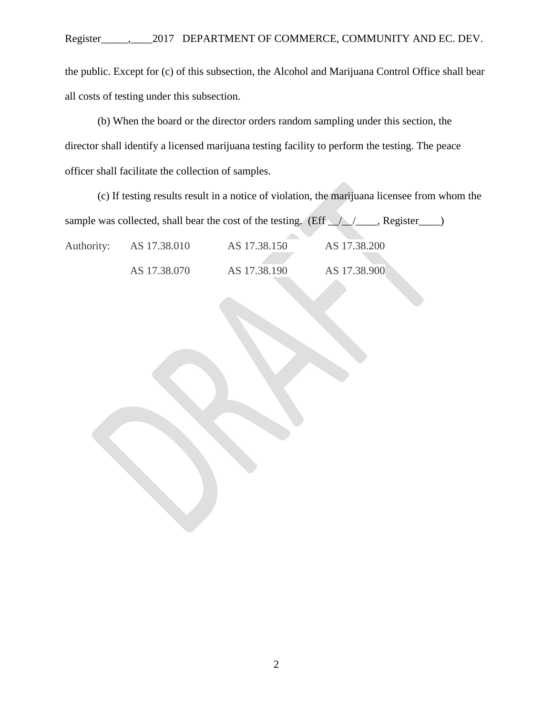the public. Except for (c) of this subsection, the Alcohol and Marijuana Control Office shall bear all costs of testing under this subsection.

(b) When the board or the director orders random sampling under this section, the director shall identify a licensed marijuana testing facility to perform the testing. The peace officer shall facilitate the collection of samples.

(c) If testing results result in a notice of violation, the marijuana licensee from whom the sample was collected, shall bear the cost of the testing. (Eff  $\angle$  /  $\angle$  Register  $\Box$ ) Authority: AS 17.38.010 AS 17.38.150 AS 17.38.200 AS 17.38.070 AS 17.38.190 AS 17.38.900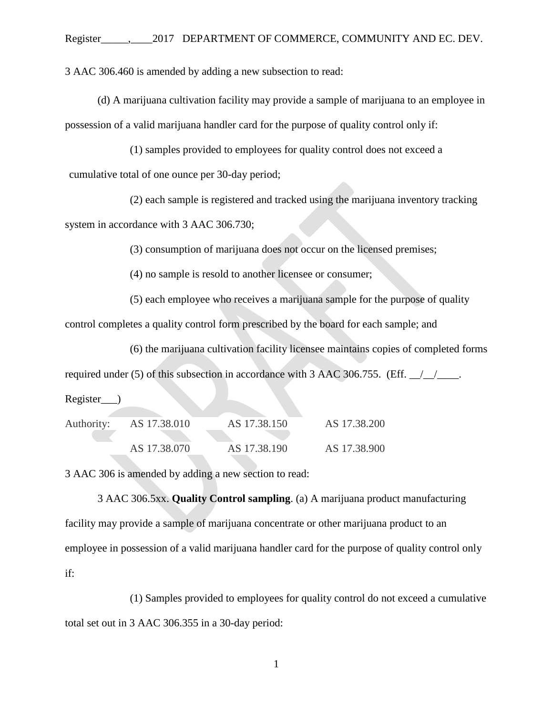3 AAC 306.460 is amended by adding a new subsection to read:

(d) A marijuana cultivation facility may provide a sample of marijuana to an employee in possession of a valid marijuana handler card for the purpose of quality control only if:

(1) samples provided to employees for quality control does not exceed a cumulative total of one ounce per 30-day period;

(2) each sample is registered and tracked using the marijuana inventory tracking

system in accordance with 3 AAC 306.730;

(3) consumption of marijuana does not occur on the licensed premises;

(4) no sample is resold to another licensee or consumer;

(5) each employee who receives a marijuana sample for the purpose of quality control completes a quality control form prescribed by the board for each sample; and

(6) the marijuana cultivation facility licensee maintains copies of completed forms

required under (5) of this subsection in accordance with 3 AAC 306.755. (Eff.  $\angle$ 

Register\_\_\_)

| Authority: | AS 17.38.010 | AS 17.38.150 | AS 17.38.200 |
|------------|--------------|--------------|--------------|
|            |              |              |              |
|            | AS 17.38.070 | AS 17.38.190 | AS 17.38.900 |

3 AAC 306 is amended by adding a new section to read:

3 AAC 306.5xx. **Quality Control sampling**. (a) A marijuana product manufacturing facility may provide a sample of marijuana concentrate or other marijuana product to an employee in possession of a valid marijuana handler card for the purpose of quality control only if:

(1) Samples provided to employees for quality control do not exceed a cumulative total set out in 3 AAC 306.355 in a 30-day period:

1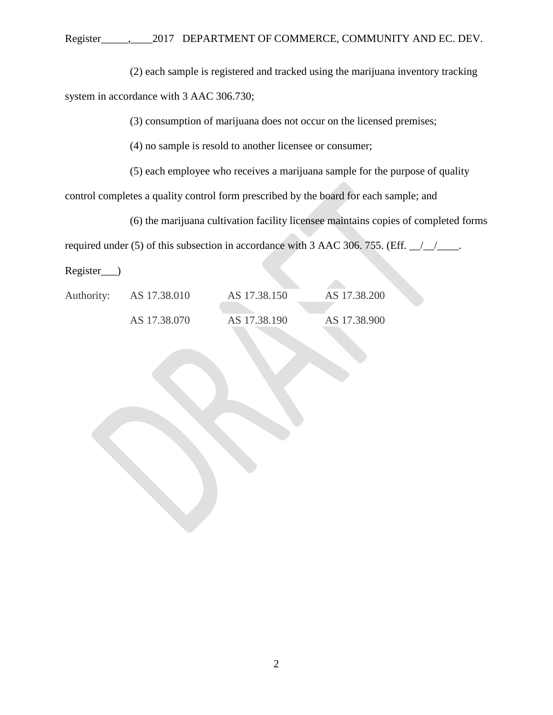(2) each sample is registered and tracked using the marijuana inventory tracking system in accordance with 3 AAC 306.730;

(3) consumption of marijuana does not occur on the licensed premises;

(4) no sample is resold to another licensee or consumer;

(5) each employee who receives a marijuana sample for the purpose of quality

control completes a quality control form prescribed by the board for each sample; and

(6) the marijuana cultivation facility licensee maintains copies of completed forms

required under (5) of this subsection in accordance with 3 AAC 306. 755. (Eff.  $\angle$ 

Register\_\_\_)

| Authority: | AS 17.38.010 | AS 17.38.150 | AS 17.38.200 |
|------------|--------------|--------------|--------------|
|            | AS 17.38.070 | AS 17.38.190 | AS 17.38.900 |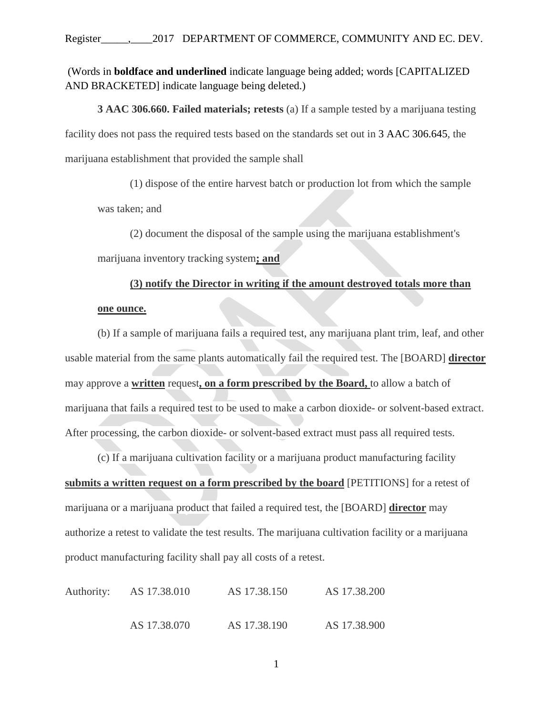(Words in **boldface and underlined** indicate language being added; words [CAPITALIZED AND BRACKETED] indicate language being deleted.)

**3 AAC 306.660. Failed materials; retests** (a) If a sample tested by a marijuana testing facility does not pass the required tests based on the standards set out in 3 AAC 306.645, the marijuana establishment that provided the sample shall

(1) dispose of the entire harvest batch or production lot from which the sample was taken; and

(2) document the disposal of the sample using the marijuana establishment's

marijuana inventory tracking system**; and**

## **(3) notify the Director in writing if the amount destroyed totals more than**

## **one ounce.**

(b) If a sample of marijuana fails a required test, any marijuana plant trim, leaf, and other usable material from the same plants automatically fail the required test. The [BOARD] **director** may approve a **written** request**, on a form prescribed by the Board,** to allow a batch of marijuana that fails a required test to be used to make a carbon dioxide- or solvent-based extract. After processing, the carbon dioxide- or solvent-based extract must pass all required tests.

(c) If a marijuana cultivation facility or a marijuana product manufacturing facility **submits a written request on a form prescribed by the board** [PETITIONS] for a retest of marijuana or a marijuana product that failed a required test, the [BOARD] **director** may authorize a retest to validate the test results. The marijuana cultivation facility or a marijuana product manufacturing facility shall pay all costs of a retest.

| Authority: | AS 17.38.010 | AS 17.38.150 | AS 17.38.200 |
|------------|--------------|--------------|--------------|
|            | AS 17.38.070 | AS 17.38.190 | AS 17.38.900 |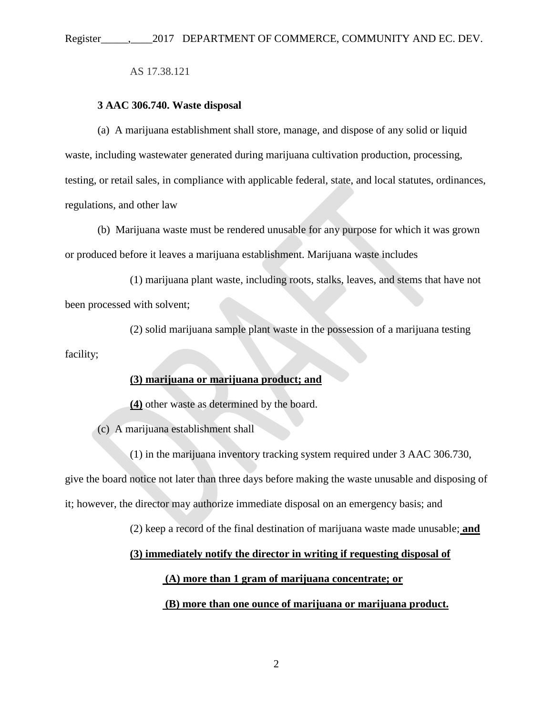AS 17.38.121

#### **3 AAC 306.740. Waste disposal**

(a) A marijuana establishment shall store, manage, and dispose of any solid or liquid waste, including wastewater generated during marijuana cultivation production, processing, testing, or retail sales, in compliance with applicable federal, state, and local statutes, ordinances, regulations, and other law

(b) Marijuana waste must be rendered unusable for any purpose for which it was grown or produced before it leaves a marijuana establishment. Marijuana waste includes

(1) marijuana plant waste, including roots, stalks, leaves, and stems that have not been processed with solvent;

(2) solid marijuana sample plant waste in the possession of a marijuana testing facility;

# **(3) marijuana or marijuana product; and**

**(4)** other waste as determined by the board.

(c) A marijuana establishment shall

(1) in the marijuana inventory tracking system required under 3 AAC 306.730, give the board notice not later than three days before making the waste unusable and disposing of it; however, the director may authorize immediate disposal on an emergency basis; and

(2) keep a record of the final destination of marijuana waste made unusable; **and**

#### **(3) immediately notify the director in writing if requesting disposal of**

# **(A) more than 1 gram of marijuana concentrate; or**

#### **(B) more than one ounce of marijuana or marijuana product.**